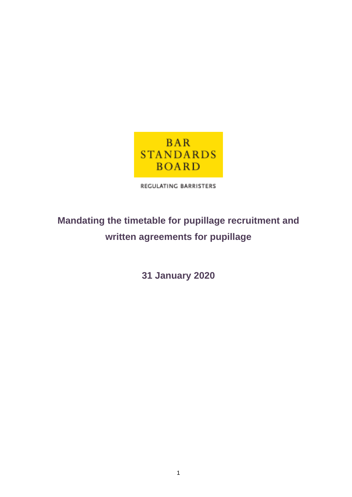

REGULATING BARRISTERS

# **Mandating the timetable for pupillage recruitment and written agreements for pupillage**

**31 January 2020**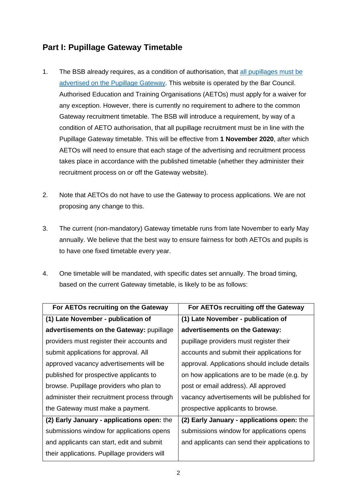# **Part I: Pupillage Gateway Timetable**

- 1. The BSB already requires, as a condition of authorisation, that [all pupillages must be](https://www.barstandardsboard.org.uk/media/1983675/bqm_part_2c_-_c2_responsibilities_of_aetos.pdf)  [advertised on the Pupillage Gateway.](https://www.barstandardsboard.org.uk/media/1983675/bqm_part_2c_-_c2_responsibilities_of_aetos.pdf) This website is operated by the Bar Council. Authorised Education and Training Organisations (AETOs) must apply for a waiver for any exception. However, there is currently no requirement to adhere to the common Gateway recruitment timetable. The BSB will introduce a requirement, by way of a condition of AETO authorisation, that all pupillage recruitment must be in line with the Pupillage Gateway timetable. This will be effective from **1 November 2020**, after which AETOs will need to ensure that each stage of the advertising and recruitment process takes place in accordance with the published timetable (whether they administer their recruitment process on or off the Gateway website).
- 2. Note that AETOs do not have to use the Gateway to process applications. We are not proposing any change to this.
- 3. The current (non-mandatory) Gateway timetable runs from late November to early May annually. We believe that the best way to ensure fairness for both AETOs and pupils is to have one fixed timetable every year.
- 4. One timetable will be mandated, with specific dates set annually. The broad timing, based on the current Gateway timetable, is likely to be as follows:

| For AETOs recruiting on the Gateway          | For AETOs recruiting off the Gateway          |
|----------------------------------------------|-----------------------------------------------|
| (1) Late November - publication of           | (1) Late November - publication of            |
| advertisements on the Gateway: pupillage     | advertisements on the Gateway:                |
| providers must register their accounts and   | pupillage providers must register their       |
| submit applications for approval. All        | accounts and submit their applications for    |
| approved vacancy advertisements will be      | approval. Applications should include details |
| published for prospective applicants to      | on how applications are to be made (e.g. by   |
| browse. Pupillage providers who plan to      | post or email address). All approved          |
| administer their recruitment process through | vacancy advertisements will be published for  |
| the Gateway must make a payment.             | prospective applicants to browse.             |
| (2) Early January - applications open: the   | (2) Early January - applications open: the    |
| submissions window for applications opens    | submissions window for applications opens     |
| and applicants can start, edit and submit    | and applicants can send their applications to |
| their applications. Pupillage providers will |                                               |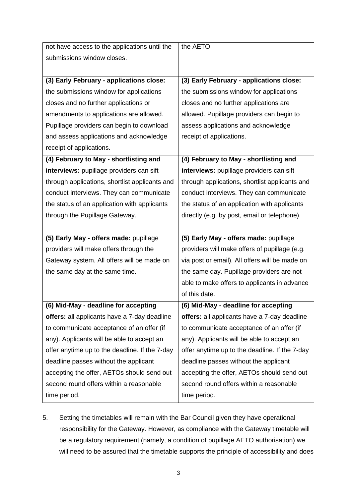| not have access to the applications until the  | the AETO.                                      |
|------------------------------------------------|------------------------------------------------|
| submissions window closes.                     |                                                |
|                                                |                                                |
| (3) Early February - applications close:       | (3) Early February - applications close:       |
| the submissions window for applications        | the submissions window for applications        |
| closes and no further applications or          | closes and no further applications are         |
| amendments to applications are allowed.        | allowed. Pupillage providers can begin to      |
| Pupillage providers can begin to download      | assess applications and acknowledge            |
| and assess applications and acknowledge        | receipt of applications.                       |
| receipt of applications.                       |                                                |
| (4) February to May - shortlisting and         | (4) February to May - shortlisting and         |
| interviews: pupillage providers can sift       | interviews: pupillage providers can sift       |
| through applications, shortlist applicants and | through applications, shortlist applicants and |
| conduct interviews. They can communicate       | conduct interviews. They can communicate       |
| the status of an application with applicants   | the status of an application with applicants   |
| through the Pupillage Gateway.                 | directly (e.g. by post, email or telephone).   |
|                                                |                                                |
| (5) Early May - offers made: pupillage         | (5) Early May - offers made: pupillage         |
| providers will make offers through the         | providers will make offers of pupillage (e.g.  |
| Gateway system. All offers will be made on     | via post or email). All offers will be made on |
| the same day at the same time.                 | the same day. Pupillage providers are not      |
|                                                | able to make offers to applicants in advance   |
|                                                | of this date.                                  |
| (6) Mid-May - deadline for accepting           | (6) Mid-May - deadline for accepting           |
| offers: all applicants have a 7-day deadline   | offers: all applicants have a 7-day deadline   |
| to communicate acceptance of an offer (if      | to communicate acceptance of an offer (if      |
| any). Applicants will be able to accept an     | any). Applicants will be able to accept an     |
| offer anytime up to the deadline. If the 7-day | offer anytime up to the deadline. If the 7-day |
| deadline passes without the applicant          | deadline passes without the applicant          |
| accepting the offer, AETOs should send out     | accepting the offer, AETOs should send out     |
| second round offers within a reasonable        |                                                |
|                                                | second round offers within a reasonable        |

5. Setting the timetables will remain with the Bar Council given they have operational responsibility for the Gateway. However, as compliance with the Gateway timetable will be a regulatory requirement (namely, a condition of pupillage AETO authorisation) we will need to be assured that the timetable supports the principle of accessibility and does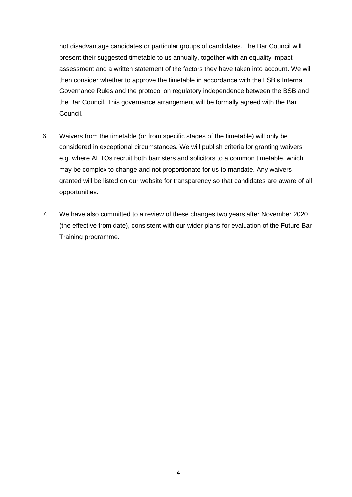not disadvantage candidates or particular groups of candidates. The Bar Council will present their suggested timetable to us annually, together with an equality impact assessment and a written statement of the factors they have taken into account. We will then consider whether to approve the timetable in accordance with the LSB's Internal Governance Rules and the protocol on regulatory independence between the BSB and the Bar Council. This governance arrangement will be formally agreed with the Bar Council.

- 6. Waivers from the timetable (or from specific stages of the timetable) will only be considered in exceptional circumstances. We will publish criteria for granting waivers e.g. where AETOs recruit both barristers and solicitors to a common timetable, which may be complex to change and not proportionate for us to mandate. Any waivers granted will be listed on our website for transparency so that candidates are aware of all opportunities.
- 7. We have also committed to a review of these changes two years after November 2020 (the effective from date), consistent with our wider plans for evaluation of the Future Bar Training programme.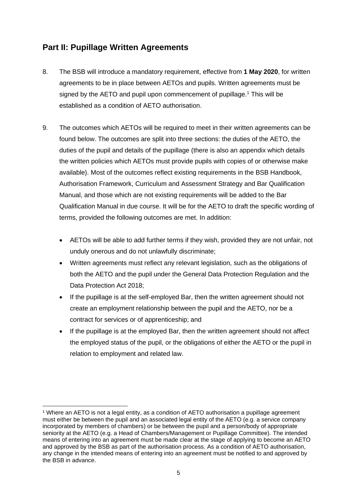# **Part II: Pupillage Written Agreements**

- 8. The BSB will introduce a mandatory requirement, effective from **1 May 2020**, for written agreements to be in place between AETOs and pupils. Written agreements must be signed by the AETO and pupil upon commencement of pupillage.<sup>1</sup> This will be established as a condition of AETO authorisation.
- 9. The outcomes which AETOs will be required to meet in their written agreements can be found below. The outcomes are split into three sections: the duties of the AETO, the duties of the pupil and details of the pupillage (there is also an appendix which details the written policies which AETOs must provide pupils with copies of or otherwise make available). Most of the outcomes reflect existing requirements in the BSB Handbook, Authorisation Framework, Curriculum and Assessment Strategy and Bar Qualification Manual, and those which are not existing requirements will be added to the Bar Qualification Manual in due course. It will be for the AETO to draft the specific wording of terms, provided the following outcomes are met. In addition:
	- AETOs will be able to add further terms if they wish, provided they are not unfair, not unduly onerous and do not unlawfully discriminate;
	- Written agreements must reflect any relevant legislation, such as the obligations of both the AETO and the pupil under the General Data Protection Regulation and the Data Protection Act 2018;
	- If the pupillage is at the self-employed Bar, then the written agreement should not create an employment relationship between the pupil and the AETO, nor be a contract for services or of apprenticeship; and
	- If the pupillage is at the employed Bar, then the written agreement should not affect the employed status of the pupil, or the obligations of either the AETO or the pupil in relation to employment and related law.

<sup>1</sup> Where an AETO is not a legal entity, as a condition of AETO authorisation a pupillage agreement must either be between the pupil and an associated legal entity of the AETO (e.g. a service company incorporated by members of chambers) or be between the pupil and a person/body of appropriate seniority at the AETO (e.g. a Head of Chambers/Management or Pupillage Committee). The intended means of entering into an agreement must be made clear at the stage of applying to become an AETO and approved by the BSB as part of the authorisation process. As a condition of AETO authorisation, any change in the intended means of entering into an agreement must be notified to and approved by the BSB in advance.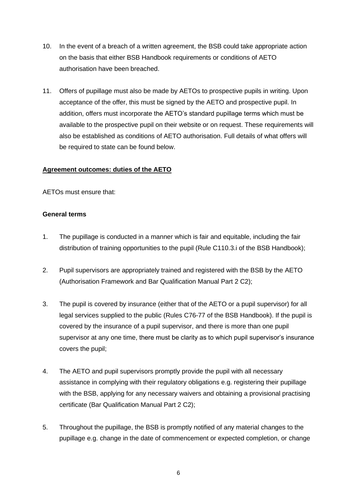- 10. In the event of a breach of a written agreement, the BSB could take appropriate action on the basis that either BSB Handbook requirements or conditions of AETO authorisation have been breached.
- 11. Offers of pupillage must also be made by AETOs to prospective pupils in writing. Upon acceptance of the offer, this must be signed by the AETO and prospective pupil. In addition, offers must incorporate the AETO's standard pupillage terms which must be available to the prospective pupil on their website or on request. These requirements will also be established as conditions of AETO authorisation. Full details of what offers will be required to state can be found below.

#### **Agreement outcomes: duties of the AETO**

AETOs must ensure that:

#### **General terms**

- 1. The pupillage is conducted in a manner which is fair and equitable, including the fair distribution of training opportunities to the pupil (Rule C110.3.i of the BSB Handbook);
- 2. Pupil supervisors are appropriately trained and registered with the BSB by the AETO (Authorisation Framework and Bar Qualification Manual Part 2 C2);
- 3. The pupil is covered by insurance (either that of the AETO or a pupil supervisor) for all legal services supplied to the public (Rules C76-77 of the BSB Handbook). If the pupil is covered by the insurance of a pupil supervisor, and there is more than one pupil supervisor at any one time, there must be clarity as to which pupil supervisor's insurance covers the pupil;
- 4. The AETO and pupil supervisors promptly provide the pupil with all necessary assistance in complying with their regulatory obligations e.g. registering their pupillage with the BSB, applying for any necessary waivers and obtaining a provisional practising certificate (Bar Qualification Manual Part 2 C2);
- 5. Throughout the pupillage, the BSB is promptly notified of any material changes to the pupillage e.g. change in the date of commencement or expected completion, or change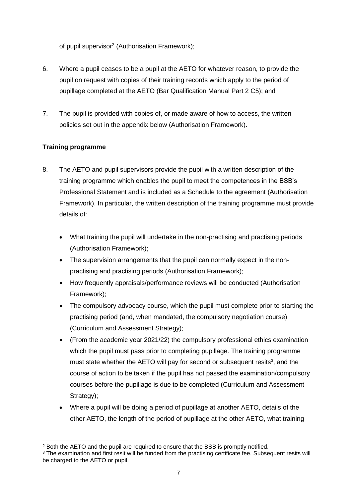of pupil supervisor<sup>2</sup> (Authorisation Framework);

- 6. Where a pupil ceases to be a pupil at the AETO for whatever reason, to provide the pupil on request with copies of their training records which apply to the period of pupillage completed at the AETO (Bar Qualification Manual Part 2 C5); and
- 7. The pupil is provided with copies of, or made aware of how to access, the written policies set out in the appendix below (Authorisation Framework).

# **Training programme**

- 8. The AETO and pupil supervisors provide the pupil with a written description of the training programme which enables the pupil to meet the competences in the BSB's Professional Statement and is included as a Schedule to the agreement (Authorisation Framework). In particular, the written description of the training programme must provide details of:
	- What training the pupil will undertake in the non-practising and practising periods (Authorisation Framework);
	- The supervision arrangements that the pupil can normally expect in the nonpractising and practising periods (Authorisation Framework);
	- How frequently appraisals/performance reviews will be conducted (Authorisation Framework);
	- The compulsory advocacy course, which the pupil must complete prior to starting the practising period (and, when mandated, the compulsory negotiation course) (Curriculum and Assessment Strategy);
	- (From the academic year 2021/22) the compulsory professional ethics examination which the pupil must pass prior to completing pupillage. The training programme must state whether the AETO will pay for second or subsequent resits<sup>3</sup>, and the course of action to be taken if the pupil has not passed the examination/compulsory courses before the pupillage is due to be completed (Curriculum and Assessment Strategy);
	- Where a pupil will be doing a period of pupillage at another AETO, details of the other AETO, the length of the period of pupillage at the other AETO, what training

<sup>2</sup> Both the AETO and the pupil are required to ensure that the BSB is promptly notified.

<sup>&</sup>lt;sup>3</sup> The examination and first resit will be funded from the practising certificate fee. Subsequent resits will be charged to the AETO or pupil.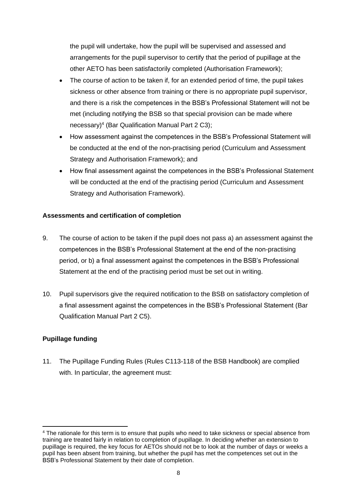the pupil will undertake, how the pupil will be supervised and assessed and arrangements for the pupil supervisor to certify that the period of pupillage at the other AETO has been satisfactorily completed (Authorisation Framework);

- The course of action to be taken if, for an extended period of time, the pupil takes sickness or other absence from training or there is no appropriate pupil supervisor, and there is a risk the competences in the BSB's Professional Statement will not be met (including notifying the BSB so that special provision can be made where necessary)<sup>4</sup> (Bar Qualification Manual Part 2 C3);
- How assessment against the competences in the BSB's Professional Statement will be conducted at the end of the non-practising period (Curriculum and Assessment Strategy and Authorisation Framework); and
- How final assessment against the competences in the BSB's Professional Statement will be conducted at the end of the practising period (Curriculum and Assessment Strategy and Authorisation Framework).

## **Assessments and certification of completion**

- 9. The course of action to be taken if the pupil does not pass a) an assessment against the competences in the BSB's Professional Statement at the end of the non-practising period, or b) a final assessment against the competences in the BSB's Professional Statement at the end of the practising period must be set out in writing.
- 10. Pupil supervisors give the required notification to the BSB on satisfactory completion of a final assessment against the competences in the BSB's Professional Statement (Bar Qualification Manual Part 2 C5).

# **Pupillage funding**

11. The Pupillage Funding Rules (Rules C113-118 of the BSB Handbook) are complied with. In particular, the agreement must:

<sup>4</sup> The rationale for this term is to ensure that pupils who need to take sickness or special absence from training are treated fairly in relation to completion of pupillage. In deciding whether an extension to pupillage is required, the key focus for AETOs should not be to look at the number of days or weeks a pupil has been absent from training, but whether the pupil has met the competences set out in the BSB's Professional Statement by their date of completion.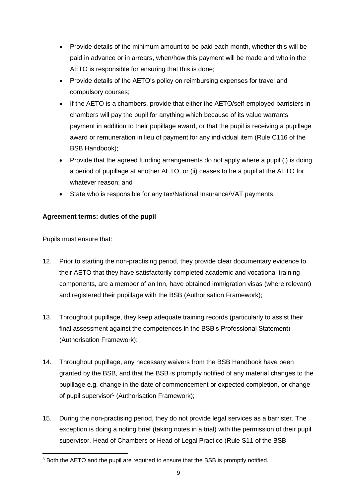- Provide details of the minimum amount to be paid each month, whether this will be paid in advance or in arrears, when/how this payment will be made and who in the AETO is responsible for ensuring that this is done;
- Provide details of the AETO's policy on reimbursing expenses for travel and compulsory courses;
- If the AETO is a chambers, provide that either the AETO/self-employed barristers in chambers will pay the pupil for anything which because of its value warrants payment in addition to their pupillage award, or that the pupil is receiving a pupillage award or remuneration in lieu of payment for any individual item (Rule C116 of the BSB Handbook);
- Provide that the agreed funding arrangements do not apply where a pupil (i) is doing a period of pupillage at another AETO, or (ii) ceases to be a pupil at the AETO for whatever reason; and
- State who is responsible for any tax/National Insurance/VAT payments.

# **Agreement terms: duties of the pupil**

Pupils must ensure that:

- 12. Prior to starting the non-practising period, they provide clear documentary evidence to their AETO that they have satisfactorily completed academic and vocational training components, are a member of an Inn, have obtained immigration visas (where relevant) and registered their pupillage with the BSB (Authorisation Framework);
- 13. Throughout pupillage, they keep adequate training records (particularly to assist their final assessment against the competences in the BSB's Professional Statement) (Authorisation Framework);
- 14. Throughout pupillage, any necessary waivers from the BSB Handbook have been granted by the BSB, and that the BSB is promptly notified of any material changes to the pupillage e.g. change in the date of commencement or expected completion, or change of pupil supervisor<sup>5</sup> (Authorisation Framework);
- 15. During the non-practising period, they do not provide legal services as a barrister. The exception is doing a noting brief (taking notes in a trial) with the permission of their pupil supervisor, Head of Chambers or Head of Legal Practice (Rule S11 of the BSB

<sup>5</sup> Both the AETO and the pupil are required to ensure that the BSB is promptly notified.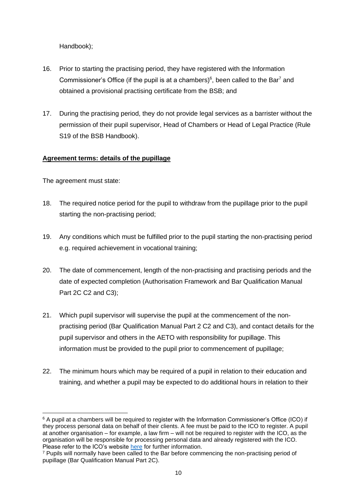Handbook);

- 16. Prior to starting the practising period, they have registered with the Information Commissioner's Office (if the pupil is at a chambers) $6$ , been called to the Bar<sup>7</sup> and obtained a provisional practising certificate from the BSB; and
- 17. During the practising period, they do not provide legal services as a barrister without the permission of their pupil supervisor, Head of Chambers or Head of Legal Practice (Rule S19 of the BSB Handbook).

#### **Agreement terms: details of the pupillage**

The agreement must state:

- 18. The required notice period for the pupil to withdraw from the pupillage prior to the pupil starting the non-practising period;
- 19. Any conditions which must be fulfilled prior to the pupil starting the non-practising period e.g. required achievement in vocational training;
- 20. The date of commencement, length of the non-practising and practising periods and the date of expected completion (Authorisation Framework and Bar Qualification Manual Part 2C C2 and C3);
- 21. Which pupil supervisor will supervise the pupil at the commencement of the nonpractising period (Bar Qualification Manual Part 2 C2 and C3), and contact details for the pupil supervisor and others in the AETO with responsibility for pupillage. This information must be provided to the pupil prior to commencement of pupillage;
- 22. The minimum hours which may be required of a pupil in relation to their education and training, and whether a pupil may be expected to do additional hours in relation to their

<sup>6</sup> A pupil at a chambers will be required to register with the Information Commissioner's Office (ICO) if they process personal data on behalf of their clients. A fee must be paid to the ICO to register. A pupil at another organisation – for example, a law firm – will not be required to register with the ICO, as the organisation will be responsible for processing personal data and already registered with the ICO. Please refer to the ICO's website [here](https://ico.org.uk/about-the-ico/what-we-do/register-of-fee-payers/) for further information.

<sup>&</sup>lt;sup>7</sup> Pupils will normally have been called to the Bar before commencing the non-practising period of pupillage (Bar Qualification Manual Part 2C).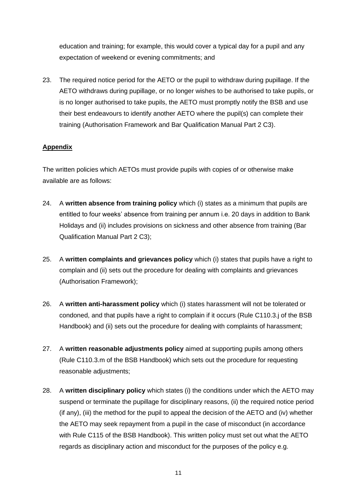education and training; for example, this would cover a typical day for a pupil and any expectation of weekend or evening commitments; and

23. The required notice period for the AETO or the pupil to withdraw during pupillage. If the AETO withdraws during pupillage, or no longer wishes to be authorised to take pupils, or is no longer authorised to take pupils, the AETO must promptly notify the BSB and use their best endeavours to identify another AETO where the pupil(s) can complete their training (Authorisation Framework and Bar Qualification Manual Part 2 C3).

### **Appendix**

The written policies which AETOs must provide pupils with copies of or otherwise make available are as follows:

- 24. A **written absence from training policy** which (i) states as a minimum that pupils are entitled to four weeks' absence from training per annum i.e. 20 days in addition to Bank Holidays and (ii) includes provisions on sickness and other absence from training (Bar Qualification Manual Part 2 C3);
- 25. A **written complaints and grievances policy** which (i) states that pupils have a right to complain and (ii) sets out the procedure for dealing with complaints and grievances (Authorisation Framework);
- 26. A **written anti-harassment policy** which (i) states harassment will not be tolerated or condoned, and that pupils have a right to complain if it occurs (Rule C110.3.j of the BSB Handbook) and (ii) sets out the procedure for dealing with complaints of harassment;
- 27. A **written reasonable adjustments policy** aimed at supporting pupils among others (Rule C110.3.m of the BSB Handbook) which sets out the procedure for requesting reasonable adjustments;
- 28. A **written disciplinary policy** which states (i) the conditions under which the AETO may suspend or terminate the pupillage for disciplinary reasons, (ii) the required notice period (if any), (iii) the method for the pupil to appeal the decision of the AETO and (iv) whether the AETO may seek repayment from a pupil in the case of misconduct (in accordance with Rule C115 of the BSB Handbook). This written policy must set out what the AETO regards as disciplinary action and misconduct for the purposes of the policy e.g.